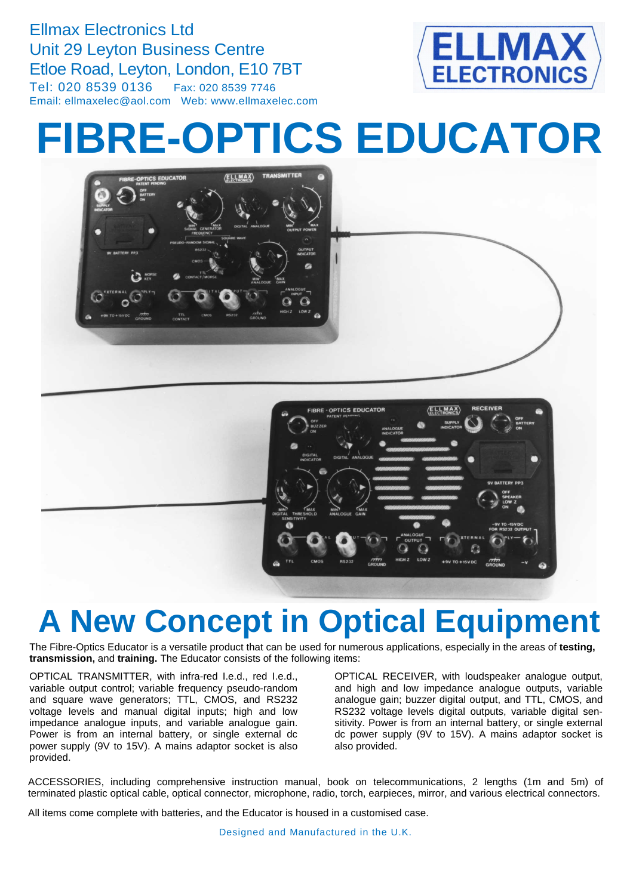Ellmax Electronics Ltd Unit 29 Leyton Business Centre Etloe Road, Leyton, London, E10 7BT Tel: 020 8539 0136 Fax: 020 8539 7746 Email: ellmaxelec@aol.com Web: www.ellmaxelec.com



# **FIBRE-OPTICS EDUCATOR**

 $\langle$ ELLMAX $\rangle$ 



## **A New Concept in Optical Equipment**

The Fibre-Optics Educator is a versatile product that can be used for numerous applications, especially in the areas of **testing, transmission,** and **training.** The Educator consists of the following items:

OPTICAL TRANSMITTER, with infra-red I.e.d., red I.e.d., variable output control; variable frequency pseudo-random and square wave generators; TTL, CMOS, and RS232 voltage levels and manual digital inputs; high and low impedance analogue inputs, and variable analogue gain. Power is from an internal battery, or single external dc power supply (9V to 15V). A mains adaptor socket is also provided.

OPTICAL RECEIVER, with loudspeaker analogue output, and high and low impedance analogue outputs, variable analogue gain; buzzer digital output, and TTL, CMOS, and RS232 voltage levels digital outputs, variable digital sensitivity. Power is from an internal battery, or single external dc power supply (9V to 15V). A mains adaptor socket is also provided.

ACCESSORIES, including comprehensive instruction manual, book on telecommunications, 2 lengths (1m and 5m) of terminated plastic optical cable, optical connector, microphone, radio, torch, earpieces, mirror, and various electrical connectors.

All items come complete with batteries, and the Educator is housed in a customised case.

Designed and Manufactured in the U.K.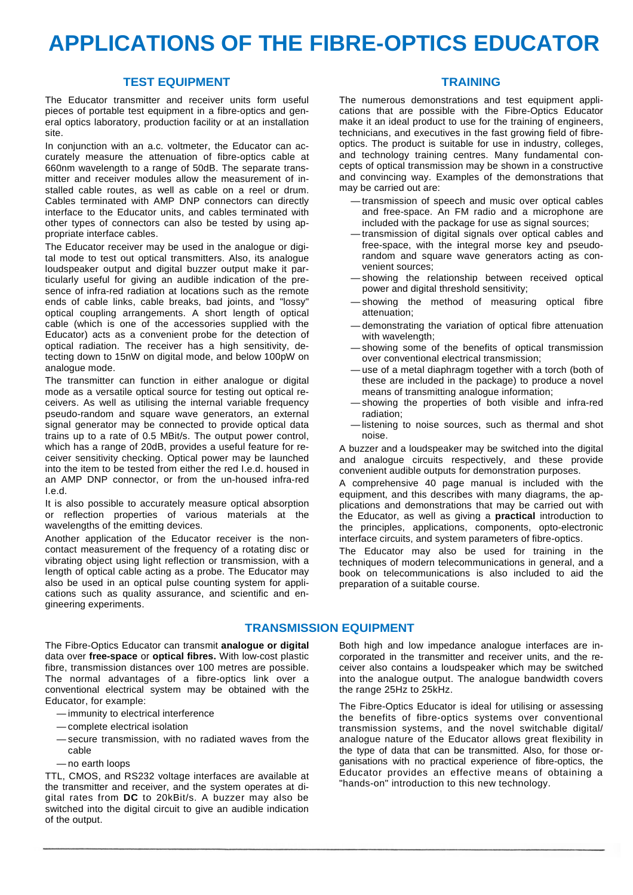### **APPLICATIONS OF THE FIBRE FIBRE-OPTICS EDUCATOR OPTICS**

#### **TEST EQUIPMENT**

The Educator transmitter and receiver units form useful pieces of portable test equipment in a fibre-optics and general optics laboratory, production facility or at an installation site.

In conjunction with an a.c. voltmeter, the Educator can accurately measure the attenuation of fibre fibre-optics cable at 660nm wavelength to a range of 50dB. The separate transmitter and receiver modules allow the measurement of installed cable routes, as well as cable on a reel or drum. Cables terminated with AMP DNP connectors can directly interface to the Educator units, and cables terminated with other types of connectors can also be tested by using appropriate interface cables.

The Educator receiver may be used in the analogue or digital mode to test out optical transmitters. Also, its analogue loudspeaker output and digital buzzer output make it particularly useful for giving an audible indication of the presence of infra-red radiation at locations such as the remote sence of infra-red radiation at locations such as the remote<br>ends of cable links, cable breaks, bad joints, and "lossy" optical coupling arrangements. A short length of optical cable (which is one of the accessories supplied with the Educator) acts as a convenient probe for the detection of cable (which is one of the accessories supplied with the<br>Educator) acts as a convenient probe for the detection of<br>optical radiation. The receiver has a high sensitivity, detecting down to 15nW on digital mode, and below 100pW on analogue mode.

The transmitter can function in either analogue or digital mode as a versatile optical source for testing out optical receivers. As well as utilising the internal variable frequency pseudo-random and square wave generators, an external signal generator may be connected to provide optical data trains up to a rate of 0.5 MBit/s. The output power control, which has a range of 20dB, provides a useful feature for re ceiver sensitivity checking. Optical power may be launched into the item to be tested from either the red I.e.d. housed in an AMP DNP connector, or from the un-housed infra-red I.e.d. random and square wave generators, an external<br>enerator may be connected to provide optical data<br>b to a rate of 0.5 MBit/s. The output power control,<br>as a range of 20dB, provides a useful feature for re-

It is also possible to accurately measure optical absorption or reflection properties of various materials at the wavelengths of the emitting devices.

Another application of the Educator receiver is the noncontact measurement of the frequency of a rotating disc or vibrating object using light reflection or transmission, with a length of optical cable acting as a probe. The Educator may also be used in an optical pulse counting system for applications such as quality assurance, and scientific and engineering experiments.

#### **TRAINING RAINING**

The numerous demonstrations and test equipment applications that are possible with the Fibre Fibre-Optics Educator make it an ideal product to use for the training of engineers, make it an ideal product to use for the training of engineers,<br>technicians, and executives in the fast growing field of fibreoptics. The product is suitable for use in industry, colleges, and technology training centres. Many fundamental concepts of optical transmission may be shown in a constructive and convincing way. Examples of the demonstrations that may be carried out are:

- transmission of speech and music over optical cables and free-space. An FM radio and a microphone are included with the package for use as signal sources; transmission of speech and music over optical cables<br>and free-space. An FM radio and a microphone are<br>included with the package for use as signal sources;<br>transmission of digital signals over optical cables and<br>free-space,
- transmission of digital signals over optical cables and free-space, with the integral morse key and pseudo random and square wave generators acting as convenient sources;
- showing the relationship between received optical power and digital threshold sensitivity;
- showing the method of measuring optical fibre attenuation; power and digital threshold sensitivity;<br>showing the method of measuring optical fibre<br>attenuation;<br>demonstrating the variation of optical transmission<br>with wavelength;<br>showing some of the benefits of optical transmission;
- demonstrating the variation of optical fibre attenuation with wavelength;
- showing some of the benefits of optical transmission over conventional electrical transmission;
- use of a metal diaphragm together with a torch (both of these are included in the package) to produce a novel means of transmitting analogue information; means of transmitting analogue information;<br>
— showing the properties of both visible and infra-red
- radiation;
- —listening to noise sources, such as thermal and shot noise. — listening to noise sources, such as thermal and shot<br>noise.<br>A buzzer and a loudspeaker may be switched into the digital

and analogue circuits respectively, and these provide convenient audible outputs for demonstration purposes.

A comprehensive 40 page manual is included with the equipment, and this describes with many diagrams, the ap plications and demonstrations that may be carried out with the Educator, as well as giving a **practical** introduction to the principles, applications, components, opto-electronic interface circuits, and system parameters of fibre fibre-optics. nd analogue circuits respectively, and these provide<br>onvenient-audible-outputs-for-demonstration-purposes.<br>comprehensive 40 page manual is included with the<br>quipment, and this-describes-with-many-diagrams, the-ap-

The Educator may also be used for training in the techniques of modern telecommunications in general, and a book on telecommunications is also included to aid the preparation of a suitable course. techniques of modern telecommunications in general, and a<br>book on telecommunications is also included to aid the<br>preparation of a suitable course.<br>**EQUIPMENT**<br>Both high and low impedance analogue interfaces are in-

#### **TRANSMISSION EQUIPMENT**

The Fibre-Optics Educator can transmit **analogue or digi digital** data over free-space or optical fibres. With low-cost plastic fibre, transmission distances over 100 metres are possible. The normal advantages of a fibre-optics link over a conventional electrical system may be obtained with the Educator, for example:

- immunity to electrical interference
- complete electrical isolation
- secure transmission, with no radiated waves from the cable
- no earth loops

TTL, CMOS, and RS232 voltage interfaces are available at the transmitter and receiver, and the system operates at digital rates from **DC** to 20kBit/s. A buzzer may also be switched into the digital circuit to give an audible indication of the output.

corporated in the transmitter and receiver units, and the receiver also contains a loudspeaker which may be switched into the analogue output. The analogue bandwidth covers the range 25Hz to 25kHz.

The Fibre-Optics Educator is ideal for utilising or assessing The Fibre-Optics Educator is ideal for utilising or assessing<br>the benefits of fibre-optics systems over conventional transmission systems, and the novel switchable digital/ transmission systems, and the novel switchable digital/<br>analogue nature of the Educator allows great flexibility in the type of data that can be transmitted. Also, for those organisations with no practical experience of fibre-optics, the Educator provides an effective means of obtaining a<br>"hands-on" introduction to this new technology. "hands-on" introduction to this new technology.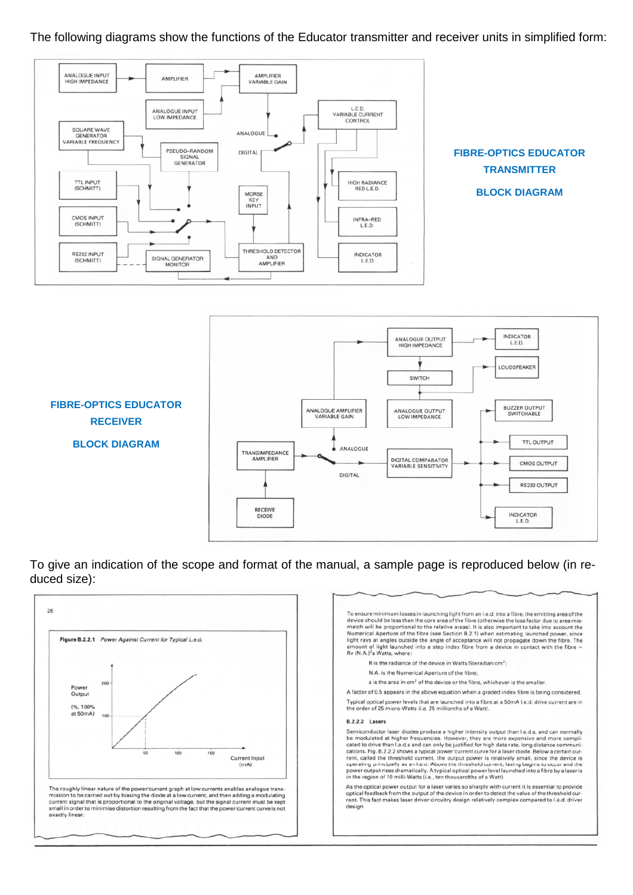#### The following diagrams show the functions of the Educator transmitter and receiver units in simplified form:



To give an indication of the scope and format of the manual, a sample page is reproduced below (in reduced size):

TRANSIMPEDANCE AMPLIFIE

RECEIVE<br>DIODE

ANALOGUE

**DIGITAL** 

DIGITAL COMPARATOR<br>VARIABLE SENSITIVITY

**TTL OUTPUT** 

**CMOS OUTPUT** 

RS232 OUTPUT

**INDICATOR** L.E.D.

**BLOCK DIAGRAM**